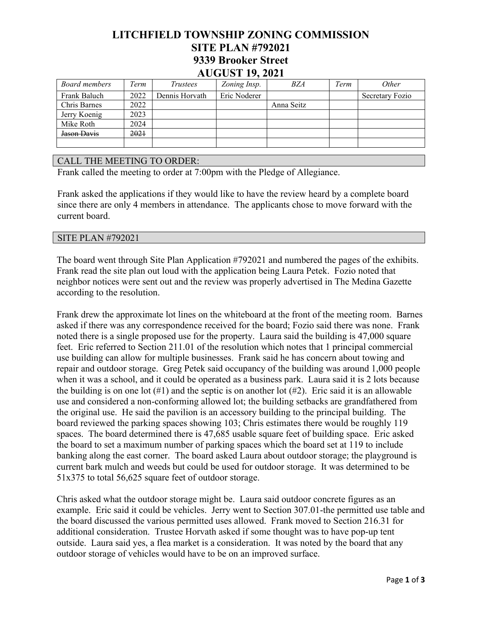## **LITCHFIELD TOWNSHIP ZONING COMMISSION SITE PLAN #792021 9339 Brooker Street AUGUST 19, 2021**

| Board members | Term | <i>Trustees</i> | Zoning Insp. | <b>BZA</b> | Term | <i>Other</i>    |
|---------------|------|-----------------|--------------|------------|------|-----------------|
| Frank Baluch  | 2022 | Dennis Horvath  | Eric Noderer |            |      | Secretary Fozio |
| Chris Barnes  | 2022 |                 |              | Anna Seitz |      |                 |
| Jerry Koenig  | 2023 |                 |              |            |      |                 |
| Mike Roth     | 2024 |                 |              |            |      |                 |
| Jason Davis   | 2021 |                 |              |            |      |                 |
|               |      |                 |              |            |      |                 |

## CALL THE MEETING TO ORDER:

Frank called the meeting to order at 7:00pm with the Pledge of Allegiance.

Frank asked the applications if they would like to have the review heard by a complete board since there are only 4 members in attendance. The applicants chose to move forward with the current board.

## SITE PLAN #792021

The board went through Site Plan Application #792021 and numbered the pages of the exhibits. Frank read the site plan out loud with the application being Laura Petek. Fozio noted that neighbor notices were sent out and the review was properly advertised in The Medina Gazette according to the resolution.

Frank drew the approximate lot lines on the whiteboard at the front of the meeting room. Barnes asked if there was any correspondence received for the board; Fozio said there was none. Frank noted there is a single proposed use for the property. Laura said the building is 47,000 square feet. Eric referred to Section 211.01 of the resolution which notes that 1 principal commercial use building can allow for multiple businesses. Frank said he has concern about towing and repair and outdoor storage. Greg Petek said occupancy of the building was around 1,000 people when it was a school, and it could be operated as a business park. Laura said it is 2 lots because the building is on one lot  $(\#1)$  and the septic is on another lot  $(\#2)$ . Eric said it is an allowable use and considered a non-conforming allowed lot; the building setbacks are grandfathered from the original use. He said the pavilion is an accessory building to the principal building. The board reviewed the parking spaces showing 103; Chris estimates there would be roughly 119 spaces. The board determined there is 47,685 usable square feet of building space. Eric asked the board to set a maximum number of parking spaces which the board set at 119 to include banking along the east corner. The board asked Laura about outdoor storage; the playground is current bark mulch and weeds but could be used for outdoor storage. It was determined to be 51x375 to total 56,625 square feet of outdoor storage.

Chris asked what the outdoor storage might be. Laura said outdoor concrete figures as an example. Eric said it could be vehicles. Jerry went to Section 307.01-the permitted use table and the board discussed the various permitted uses allowed. Frank moved to Section 216.31 for additional consideration. Trustee Horvath asked if some thought was to have pop-up tent outside. Laura said yes, a flea market is a consideration. It was noted by the board that any outdoor storage of vehicles would have to be on an improved surface.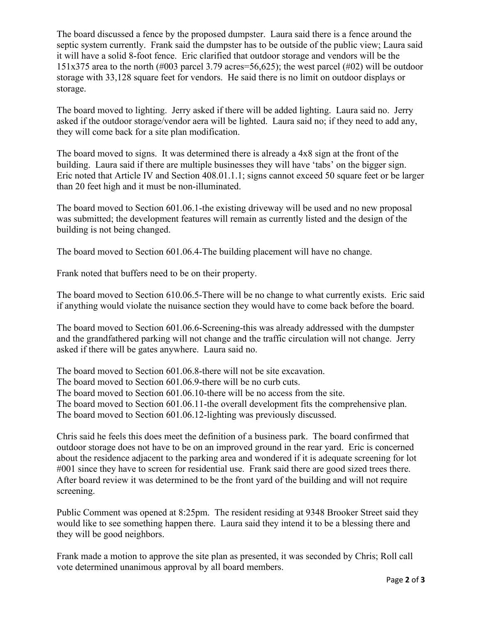The board discussed a fence by the proposed dumpster. Laura said there is a fence around the septic system currently. Frank said the dumpster has to be outside of the public view; Laura said it will have a solid 8-foot fence. Eric clarified that outdoor storage and vendors will be the 151x375 area to the north (#003 parcel 3.79 acres=56,625); the west parcel (#02) will be outdoor storage with 33,128 square feet for vendors. He said there is no limit on outdoor displays or storage.

The board moved to lighting. Jerry asked if there will be added lighting. Laura said no. Jerry asked if the outdoor storage/vendor aera will be lighted. Laura said no; if they need to add any, they will come back for a site plan modification.

The board moved to signs. It was determined there is already a 4x8 sign at the front of the building. Laura said if there are multiple businesses they will have 'tabs' on the bigger sign. Eric noted that Article IV and Section 408.01.1.1; signs cannot exceed 50 square feet or be larger than 20 feet high and it must be non-illuminated.

The board moved to Section 601.06.1-the existing driveway will be used and no new proposal was submitted; the development features will remain as currently listed and the design of the building is not being changed.

The board moved to Section 601.06.4-The building placement will have no change.

Frank noted that buffers need to be on their property.

The board moved to Section 610.06.5-There will be no change to what currently exists. Eric said if anything would violate the nuisance section they would have to come back before the board.

The board moved to Section 601.06.6-Screening-this was already addressed with the dumpster and the grandfathered parking will not change and the traffic circulation will not change. Jerry asked if there will be gates anywhere. Laura said no.

The board moved to Section 601.06.8-there will not be site excavation.

The board moved to Section 601.06.9-there will be no curb cuts.

The board moved to Section 601.06.10-there will be no access from the site.

The board moved to Section 601.06.11-the overall development fits the comprehensive plan. The board moved to Section 601.06.12-lighting was previously discussed.

Chris said he feels this does meet the definition of a business park. The board confirmed that outdoor storage does not have to be on an improved ground in the rear yard. Eric is concerned about the residence adjacent to the parking area and wondered if it is adequate screening for lot #001 since they have to screen for residential use. Frank said there are good sized trees there. After board review it was determined to be the front yard of the building and will not require screening.

Public Comment was opened at 8:25pm. The resident residing at 9348 Brooker Street said they would like to see something happen there. Laura said they intend it to be a blessing there and they will be good neighbors.

Frank made a motion to approve the site plan as presented, it was seconded by Chris; Roll call vote determined unanimous approval by all board members.